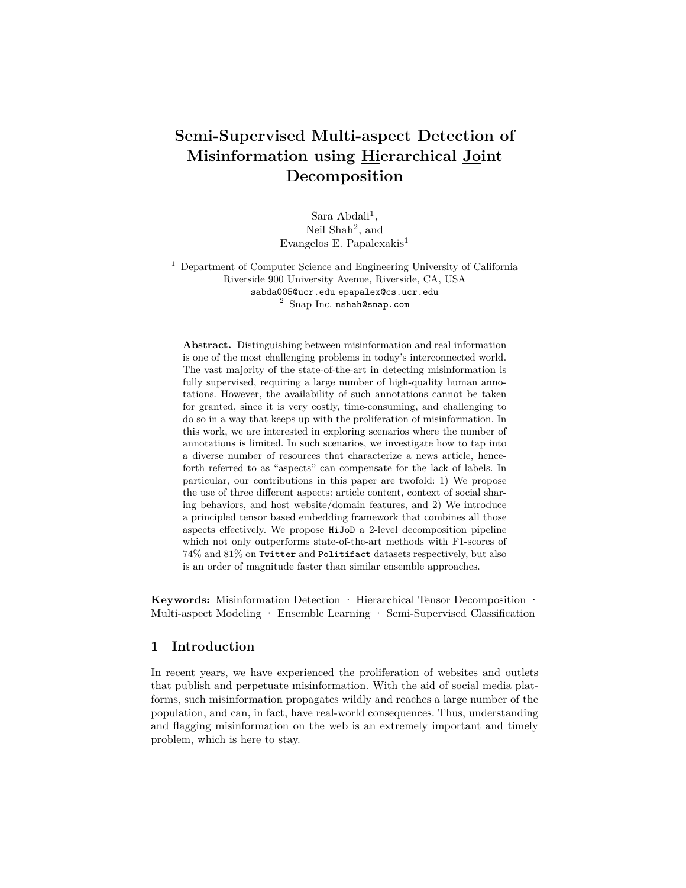# **Semi-Supervised Multi-aspect Detection of Misinformation using Hierarchical Joint Decomposition**

 $Sara Abdali<sup>1</sup>,$ Neil Shah<sup>2</sup>, and Evangelos E. Papalexakis<sup>1</sup>

<sup>1</sup> Department of Computer Science and Engineering University of California Riverside 900 University Avenue, Riverside, CA, USA sabda005@ucr.edu epapalex@cs.ucr.edu <sup>2</sup> Snap Inc. nshah@snap.com

**Abstract.** Distinguishing between misinformation and real information is one of the most challenging problems in today's interconnected world. The vast majority of the state-of-the-art in detecting misinformation is fully supervised, requiring a large number of high-quality human annotations. However, the availability of such annotations cannot be taken for granted, since it is very costly, time-consuming, and challenging to do so in a way that keeps up with the proliferation of misinformation. In this work, we are interested in exploring scenarios where the number of annotations is limited. In such scenarios, we investigate how to tap into a diverse number of resources that characterize a news article, henceforth referred to as "aspects" can compensate for the lack of labels. In particular, our contributions in this paper are twofold: 1) We propose the use of three different aspects: article content, context of social sharing behaviors, and host website/domain features, and 2) We introduce a principled tensor based embedding framework that combines all those aspects effectively. We propose HiJoD a 2-level decomposition pipeline which not only outperforms state-of-the-art methods with F1-scores of 74% and 81% on Twitter and Politifact datasets respectively, but also is an order of magnitude faster than similar ensemble approaches.

**Keywords:** Misinformation Detection · Hierarchical Tensor Decomposition · Multi-aspect Modeling · Ensemble Learning · Semi-Supervised Classification

## **1 Introduction**

In recent years, we have experienced the proliferation of websites and outlets that publish and perpetuate misinformation. With the aid of social media platforms, such misinformation propagates wildly and reaches a large number of the population, and can, in fact, have real-world consequences. Thus, understanding and flagging misinformation on the web is an extremely important and timely problem, which is here to stay.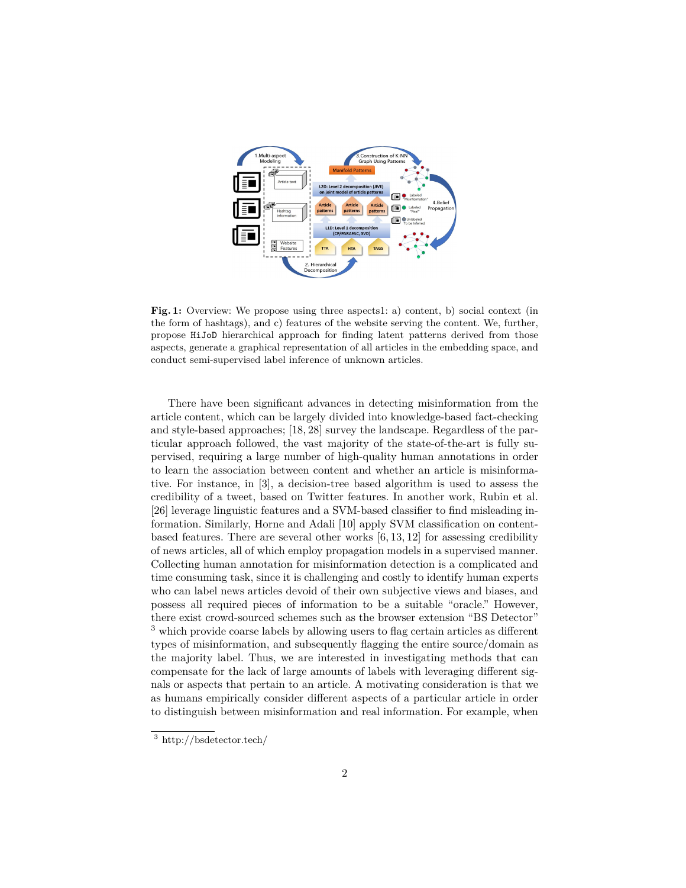

**Fig. 1:** Overview: We propose using three aspects1: a) content, b) social context (in the form of hashtags), and c) features of the website serving the content. We, further, propose HiJoD hierarchical approach for finding latent patterns derived from those aspects, generate a graphical representation of all articles in the embedding space, and conduct semi-supervised label inference of unknown articles.

There have been significant advances in detecting misinformation from the article content, which can be largely divided into knowledge-based fact-checking and style-based approaches; [18, 28] survey the landscape. Regardless of the particular approach followed, the vast majority of the state-of-the-art is fully supervised, requiring a large number of high-quality human annotations in order to learn the association between content and whether an article is misinformative. For instance, in [3], a decision-tree based algorithm is used to assess the credibility of a tweet, based on Twitter features. In another work, Rubin et al. [26] leverage linguistic features and a SVM-based classifier to find misleading information. Similarly, Horne and Adali [10] apply SVM classification on contentbased features. There are several other works [6, 13, 12] for assessing credibility of news articles, all of which employ propagation models in a supervised manner. Collecting human annotation for misinformation detection is a complicated and time consuming task, since it is challenging and costly to identify human experts who can label news articles devoid of their own subjective views and biases, and possess all required pieces of information to be a suitable "oracle." However, there exist crowd-sourced schemes such as the browser extension "BS Detector" <sup>3</sup> which provide coarse labels by allowing users to flag certain articles as different types of misinformation, and subsequently flagging the entire source/domain as the majority label. Thus, we are interested in investigating methods that can compensate for the lack of large amounts of labels with leveraging different signals or aspects that pertain to an article. A motivating consideration is that we as humans empirically consider different aspects of a particular article in order to distinguish between misinformation and real information. For example, when

<sup>3</sup> http://bsdetector.tech/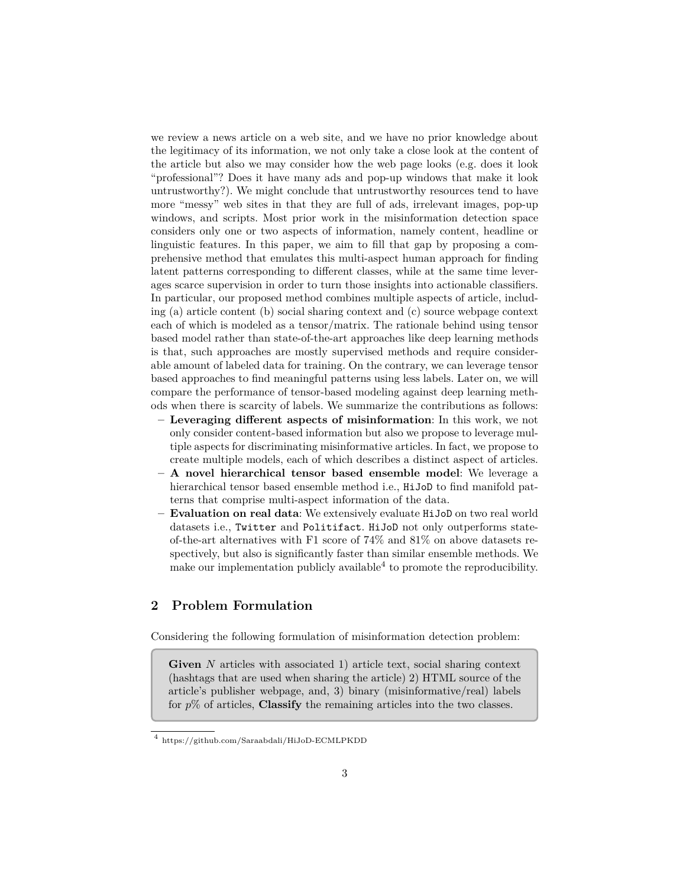we review a news article on a web site, and we have no prior knowledge about the legitimacy of its information, we not only take a close look at the content of the article but also we may consider how the web page looks (e.g. does it look "professional"? Does it have many ads and pop-up windows that make it look untrustworthy?). We might conclude that untrustworthy resources tend to have more "messy" web sites in that they are full of ads, irrelevant images, pop-up windows, and scripts. Most prior work in the misinformation detection space considers only one or two aspects of information, namely content, headline or linguistic features. In this paper, we aim to fill that gap by proposing a comprehensive method that emulates this multi-aspect human approach for finding latent patterns corresponding to different classes, while at the same time leverages scarce supervision in order to turn those insights into actionable classifiers. In particular, our proposed method combines multiple aspects of article, including (a) article content (b) social sharing context and (c) source webpage context each of which is modeled as a tensor/matrix. The rationale behind using tensor based model rather than state-of-the-art approaches like deep learning methods is that, such approaches are mostly supervised methods and require considerable amount of labeled data for training. On the contrary, we can leverage tensor based approaches to find meaningful patterns using less labels. Later on, we will compare the performance of tensor-based modeling against deep learning methods when there is scarcity of labels. We summarize the contributions as follows:

- **– Leveraging different aspects of misinformation**: In this work, we not only consider content-based information but also we propose to leverage multiple aspects for discriminating misinformative articles. In fact, we propose to create multiple models, each of which describes a distinct aspect of articles.
- **– A novel hierarchical tensor based ensemble model**: We leverage a hierarchical tensor based ensemble method i.e., HiJoD to find manifold patterns that comprise multi-aspect information of the data.
- **– Evaluation on real data**: We extensively evaluate HiJoD on two real world datasets i.e., Twitter and Politifact. HiJoD not only outperforms stateof-the-art alternatives with F1 score of  $74\%$  and  $81\%$  on above datasets respectively, but also is significantly faster than similar ensemble methods. We make our implementation publicly available  $4$  to promote the reproducibility.

# **2 Problem Formulation**

Considering the following formulation of misinformation detection problem:

**Given** *N* articles with associated 1) article text, social sharing context (hashtags that are used when sharing the article) 2) HTML source of the article's publisher webpage, and, 3) binary (misinformative/real) labels for *p*% of articles, **Classify** the remaining articles into the two classes.

<sup>4</sup> https://github.com/Saraabdali/HiJoD-ECMLPKDD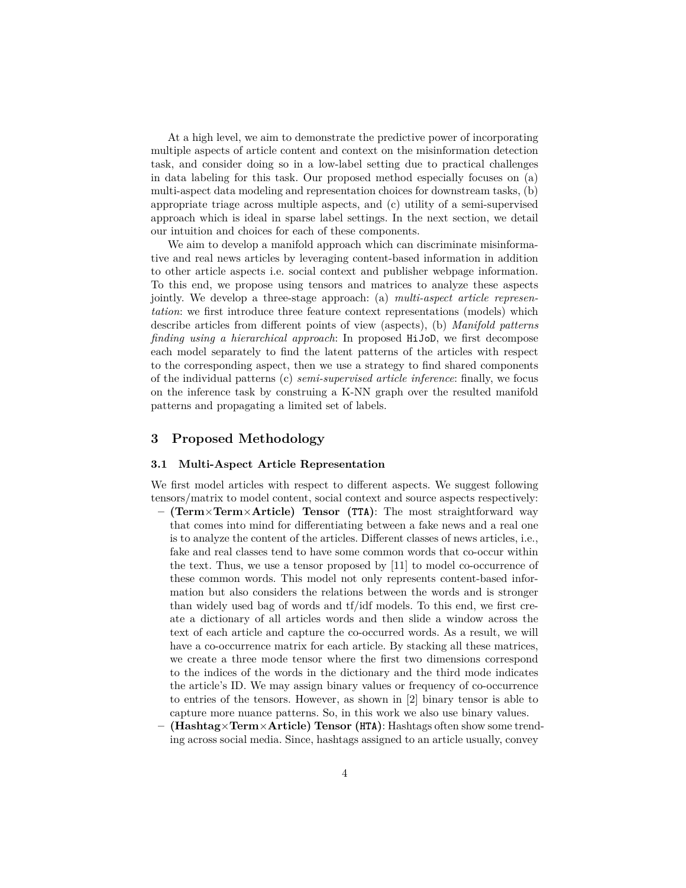At a high level, we aim to demonstrate the predictive power of incorporating multiple aspects of article content and context on the misinformation detection task, and consider doing so in a low-label setting due to practical challenges in data labeling for this task. Our proposed method especially focuses on (a) multi-aspect data modeling and representation choices for downstream tasks, (b) appropriate triage across multiple aspects, and (c) utility of a semi-supervised approach which is ideal in sparse label settings. In the next section, we detail our intuition and choices for each of these components.

We aim to develop a manifold approach which can discriminate misinformative and real news articles by leveraging content-based information in addition to other article aspects i.e. social context and publisher webpage information. To this end, we propose using tensors and matrices to analyze these aspects jointly. We develop a three-stage approach: (a) *multi-aspect article representation*: we first introduce three feature context representations (models) which describe articles from different points of view (aspects), (b) *Manifold patterns finding using a hierarchical approach*: In proposed HiJoD, we first decompose each model separately to find the latent patterns of the articles with respect to the corresponding aspect, then we use a strategy to find shared components of the individual patterns (c) *semi-supervised article inference*: finally, we focus on the inference task by construing a K-NN graph over the resulted manifold patterns and propagating a limited set of labels.

## **3 Proposed Methodology**

#### **3.1 Multi-Aspect Article Representation**

We first model articles with respect to different aspects. We suggest following tensors/matrix to model content, social context and source aspects respectively:

- **– (Term***×***Term***×***Article) Tensor (TTA)**: The most straightforward way that comes into mind for differentiating between a fake news and a real one is to analyze the content of the articles. Different classes of news articles, i.e., fake and real classes tend to have some common words that co-occur within the text. Thus, we use a tensor proposed by [11] to model co-occurrence of these common words. This model not only represents content-based information but also considers the relations between the words and is stronger than widely used bag of words and tf/idf models. To this end, we first create a dictionary of all articles words and then slide a window across the text of each article and capture the co-occurred words. As a result, we will have a co-occurrence matrix for each article. By stacking all these matrices, we create a three mode tensor where the first two dimensions correspond to the indices of the words in the dictionary and the third mode indicates the article's ID. We may assign binary values or frequency of co-occurrence to entries of the tensors. However, as shown in [2] binary tensor is able to capture more nuance patterns. So, in this work we also use binary values.
- **– (Hashtag***×***Term***×***Article) Tensor (HTA)**: Hashtags often show some trending across social media. Since, hashtags assigned to an article usually, convey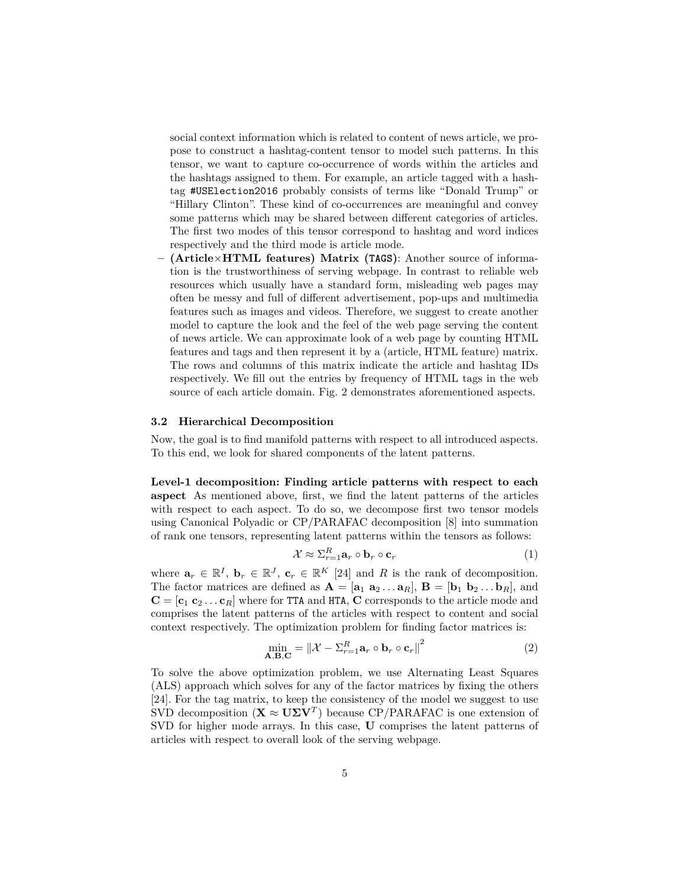social context information which is related to content of news article, we propose to construct a hashtag-content tensor to model such patterns. In this tensor, we want to capture co-occurrence of words within the articles and the hashtags assigned to them. For example, an article tagged with a hashtag #USElection2016 probably consists of terms like "Donald Trump" or "Hillary Clinton". These kind of co-occurrences are meaningful and convey some patterns which may be shared between different categories of articles. The first two modes of this tensor correspond to hashtag and word indices respectively and the third mode is article mode.

**– (Article***×***HTML features) Matrix (TAGS)**: Another source of information is the trustworthiness of serving webpage. In contrast to reliable web resources which usually have a standard form, misleading web pages may often be messy and full of different advertisement, pop-ups and multimedia features such as images and videos. Therefore, we suggest to create another model to capture the look and the feel of the web page serving the content of news article. We can approximate look of a web page by counting HTML features and tags and then represent it by a (article, HTML feature) matrix. The rows and columns of this matrix indicate the article and hashtag IDs respectively. We fill out the entries by frequency of HTML tags in the web source of each article domain. Fig. 2 demonstrates aforementioned aspects.

#### **3.2 Hierarchical Decomposition**

Now, the goal is to find manifold patterns with respect to all introduced aspects. To this end, we look for shared components of the latent patterns.

**Level-1 decomposition: Finding article patterns with respect to each aspect** As mentioned above, first, we find the latent patterns of the articles with respect to each aspect. To do so, we decompose first two tensor models using Canonical Polyadic or CP/PARAFAC decomposition [8] into summation of rank one tensors, representing latent patterns within the tensors as follows:

$$
\mathcal{X} \approx \Sigma_{r=1}^R \mathbf{a}_r \circ \mathbf{b}_r \circ \mathbf{c}_r \tag{1}
$$

where  $\mathbf{a}_r \in \mathbb{R}^I$ ,  $\mathbf{b}_r \in \mathbb{R}^J$ ,  $\mathbf{c}_r \in \mathbb{R}^K$  [24] and *R* is the rank of decomposition. The factor matrices are defined as  $\mathbf{A} = [\mathbf{a}_1 \ \mathbf{a}_2 \dots \mathbf{a}_R]$ ,  $\mathbf{B} = [\mathbf{b}_1 \ \mathbf{b}_2 \dots \mathbf{b}_R]$ , and  $\mathbf{C} = [\mathbf{c}_1 \ \mathbf{c}_2 \dots \mathbf{c}_R]$  where for TTA and HTA, C corresponds to the article mode and comprises the latent patterns of the articles with respect to content and social context respectively. The optimization problem for finding factor matrices is:

$$
\min_{\mathbf{A}, \mathbf{B}, \mathbf{C}} = ||\mathcal{X} - \Sigma_{r=1}^R \mathbf{a}_r \circ \mathbf{b}_r \circ \mathbf{c}_r||^2
$$
\n(2)

To solve the above optimization problem, we use Alternating Least Squares (ALS) approach which solves for any of the factor matrices by fixing the others [24]. For the tag matrix, to keep the consistency of the model we suggest to use SVD decomposition ( $X \approx U\Sigma V^T$ ) because CP/PARAFAC is one extension of SVD for higher mode arrays. In this case, **U** comprises the latent patterns of articles with respect to overall look of the serving webpage.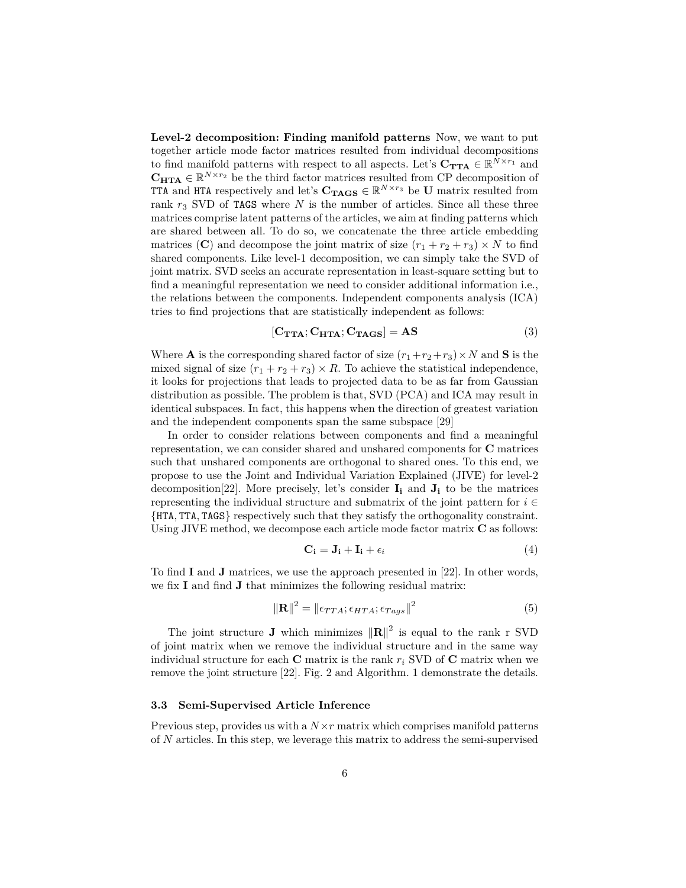**Level-2 decomposition: Finding manifold patterns** Now, we want to put together article mode factor matrices resulted from individual decompositions to find manifold patterns with respect to all aspects. Let's  $C_{\text{TTA}} \in \mathbb{R}^{N \times r_1}$  and  $\mathbf{C}_{\mathbf{H} \mathbf{T} \mathbf{A}} \in \mathbb{R}^{N \times r_2}$  be the third factor matrices resulted from CP decomposition of **TTA** and HTA respectively and let's  $\mathbf{C_{TAGS}} \in \mathbb{R}^{N \times r_3}$  be **U** matrix resulted from rank  $r_3$  SVD of TAGS where  $N$  is the number of articles. Since all these three matrices comprise latent patterns of the articles, we aim at finding patterns which are shared between all. To do so, we concatenate the three article embedding matrices (C) and decompose the joint matrix of size  $(r_1 + r_2 + r_3) \times N$  to find shared components. Like level-1 decomposition, we can simply take the SVD of joint matrix. SVD seeks an accurate representation in least-square setting but to find a meaningful representation we need to consider additional information i.e., the relations between the components. Independent components analysis (ICA) tries to find projections that are statistically independent as follows:

$$
[\mathbf{C_{TTA}}; \mathbf{C_{HTA}}; \mathbf{C_{TAGS}}] = \mathbf{AS} \tag{3}
$$

Where **A** is the corresponding shared factor of size  $(r_1+r_2+r_3) \times N$  and **S** is the mixed signal of size  $(r_1 + r_2 + r_3) \times R$ . To achieve the statistical independence, it looks for projections that leads to projected data to be as far from Gaussian distribution as possible. The problem is that, SVD (PCA) and ICA may result in identical subspaces. In fact, this happens when the direction of greatest variation and the independent components span the same subspace [29]

In order to consider relations between components and find a meaningful representation, we can consider shared and unshared components for **C** matrices such that unshared components are orthogonal to shared ones. To this end, we propose to use the Joint and Individual Variation Explained (JIVE) for level-2 decomposition[22]. More precisely, let's consider **I<sup>i</sup>** and **J<sup>i</sup>** to be the matrices representing the individual structure and submatrix of the joint pattern for  $i \in$ *{*HTA*,* TTA*,* TAGS*}* respectively such that they satisfy the orthogonality constraint. Using JIVE method, we decompose each article mode factor matrix **C** as follows:

$$
C_i = J_i + I_i + \epsilon_i \tag{4}
$$

To find **I** and **J** matrices, we use the approach presented in [22]. In other words, we fix **I** and find **J** that minimizes the following residual matrix:

$$
\|\mathbf{R}\|^2 = \|\epsilon_{TTA}; \epsilon_{HTA}; \epsilon_{Tags}\|^2 \tag{5}
$$

The joint structure **J** which minimizes *∥***R***∥* 2 is equal to the rank r SVD of joint matrix when we remove the individual structure and in the same way individual structure for each **C** matrix is the rank  $r_i$  SVD of **C** matrix when we remove the joint structure [22]. Fig. 2 and Algorithm. 1 demonstrate the details.

#### **3.3 Semi-Supervised Article Inference**

Previous step, provides us with a *N×r* matrix which comprises manifold patterns of *N* articles. In this step, we leverage this matrix to address the semi-supervised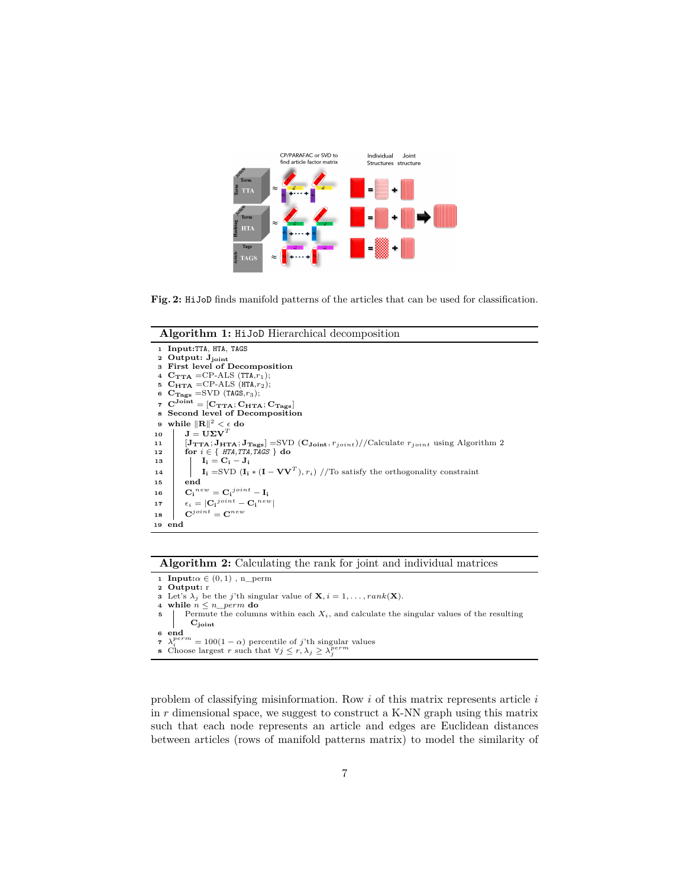

**Fig. 2:** HiJoD finds manifold patterns of the articles that can be used for classification.

**Algorithm 1:** HiJoD Hierarchical decomposition

**<sup>1</sup> Input:**TTA, HTA, TAGS **<sup>2</sup> Output: Jjoint 3 First level of Decomposition <sup>4</sup> CTTA** =CP-ALS (TTA,*r*1); 5  $C_{\text{HTA}} = CP-ALS$  (HTA, $r_2$ );  $\mathbf{6}$  **C**<sub>Tags</sub> =SVD (TAGS, $r_3$ );  $7 \text{ } \text{C}^{\text{Joint}} = [\text{C}_{\text{TTA}}; \text{C}_{\text{HTA}}; \text{C}_{\text{Tags}}]$ **8 Second level of Decomposition <sup>9</sup> while** *∥***R***∥* <sup>2</sup> *<*  **do**  $\begin{array}{c|c} \n\mathbf{10} & \mathbf{J} = \mathbf{U} \mathbf{\Sigma} \mathbf{V}^T \n\end{array}$   $\begin{array}{c|c} \n\mathbf{J} = \mathbf{U} \mathbf{\Sigma} \mathbf{V}^T \n\end{array}$ **11**  $[J_{\text{TTA}}; J_{\text{HTA}}; J_{\text{Tags}}] = \text{SVD (C}_{\text{Joint}}, r_{joint})//\text{Calculate } r_{joint}$  using Algorithm 2<br>**12** for  $i \in \{ \text{ HTA,TTA,TAGS } \}$  do  $\begin{array}{|c|c|c|c|c|}\n\hline\n\textbf{12} & \textbf{for} & i \in \{ & \text{HTA}, \text{TTA}, \text{TAGS} \} & \textbf{do} \\
\hline\n\textbf{13} & | & \textbf{I}_i = \textbf{C}_i - \textbf{J}_i\n\end{array}$  $\mathbf{I}_i = \mathbf{C}_i - \mathbf{J}_i$ **14 Ii**  $I_i = \text{SVD}$   $(I_i * (I - VV^T), r_i)$  //To satisfy the orthogonality constraint **15 end**  $\mathbf{C_i}^{new} = \mathbf{C_i}^{joint} - \mathbf{I_i}$  $\epsilon_i = |\mathbf{C_i}^{joint} - \mathbf{C_i}^{new}|$ 18  $\int_0^1 \mathbf{C}^{joint} = \mathbf{C}^{new}$ **19 end**

**Algorithm 2:** Calculating the rank for joint and individual matrices

**<sup>1</sup> Input:***α ∈* (0*,* 1) , n\_perm

**2 Output:** r **3** Let's  $\lambda_j$  be the *j*'th singular value of **X***, i* = 1*, . . . , rank*(**X**).<br>**4** while  $n \le n$  perm **do** 

**4 while**  $n \leq n\_perm$  **do**<br>**5 d** Permute the column

**Permute the columns within each**  $X_i$ **, and calculate the singular values of the resulting Cjoint**

**6 end**

**7**  $\lambda_i^{perm} = 100(1 - \alpha)$  percentile of *j*'th singular values

**8** Choose largest *r* such that  $\forall j \leq r, \lambda_j \geq \lambda_j^p$ 

problem of classifying misinformation. Row *i* of this matrix represents article *i* in *r* dimensional space, we suggest to construct a K-NN graph using this matrix such that each node represents an article and edges are Euclidean distances between articles (rows of manifold patterns matrix) to model the similarity of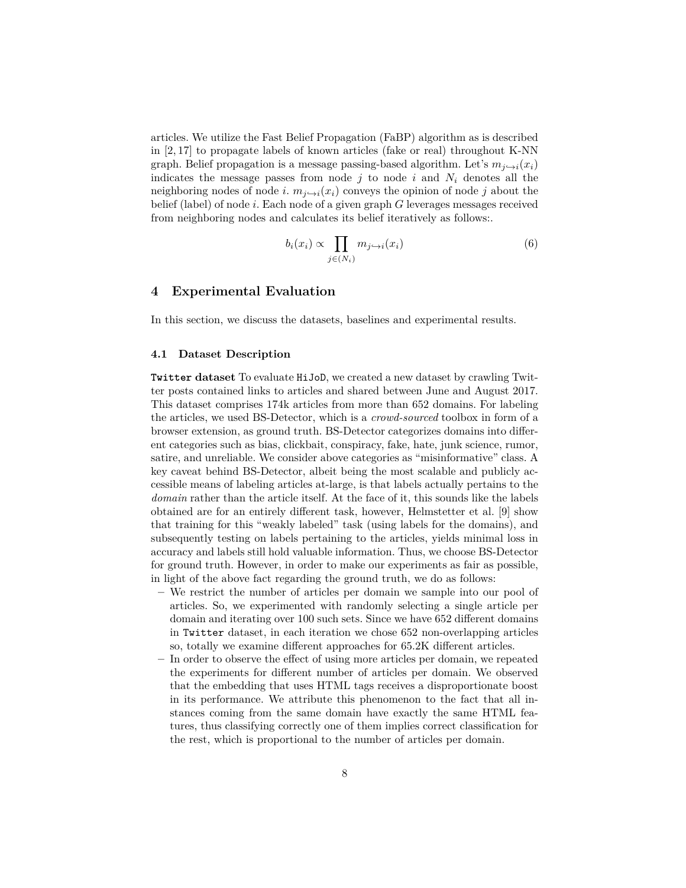articles. We utilize the Fast Belief Propagation (FaBP) algorithm as is described in [2, 17] to propagate labels of known articles (fake or real) throughout K-NN graph. Belief propagation is a message passing-based algorithm. Let's  $m_{i\rightarrow i}(x_i)$ indicates the message passes from node  $j$  to node  $i$  and  $N_i$  denotes all the neighboring nodes of node *i*.  $m_{i\rightarrow i}(x_i)$  conveys the opinion of node *j* about the belief (label) of node *i*. Each node of a given graph *G* leverages messages received from neighboring nodes and calculates its belief iteratively as follows:.

$$
b_i(x_i) \propto \prod_{j \in (N_i)} m_{j \hookrightarrow i}(x_i)
$$
 (6)

#### **4 Experimental Evaluation**

In this section, we discuss the datasets, baselines and experimental results.

#### **4.1 Dataset Description**

**Twitter dataset** To evaluate HiJoD, we created a new dataset by crawling Twitter posts contained links to articles and shared between June and August 2017. This dataset comprises 174k articles from more than 652 domains. For labeling the articles, we used BS-Detector, which is a *crowd-sourced* toolbox in form of a browser extension, as ground truth. BS-Detector categorizes domains into different categories such as bias, clickbait, conspiracy, fake, hate, junk science, rumor, satire, and unreliable. We consider above categories as "misinformative" class. A key caveat behind BS-Detector, albeit being the most scalable and publicly accessible means of labeling articles at-large, is that labels actually pertains to the *domain* rather than the article itself. At the face of it, this sounds like the labels obtained are for an entirely different task, however, Helmstetter et al. [9] show that training for this "weakly labeled" task (using labels for the domains), and subsequently testing on labels pertaining to the articles, yields minimal loss in accuracy and labels still hold valuable information. Thus, we choose BS-Detector for ground truth. However, in order to make our experiments as fair as possible, in light of the above fact regarding the ground truth, we do as follows:

- **–** We restrict the number of articles per domain we sample into our pool of articles. So, we experimented with randomly selecting a single article per domain and iterating over 100 such sets. Since we have 652 different domains in Twitter dataset, in each iteration we chose 652 non-overlapping articles so, totally we examine different approaches for 65.2K different articles.
- **–** In order to observe the effect of using more articles per domain, we repeated the experiments for different number of articles per domain. We observed that the embedding that uses HTML tags receives a disproportionate boost in its performance. We attribute this phenomenon to the fact that all instances coming from the same domain have exactly the same HTML features, thus classifying correctly one of them implies correct classification for the rest, which is proportional to the number of articles per domain.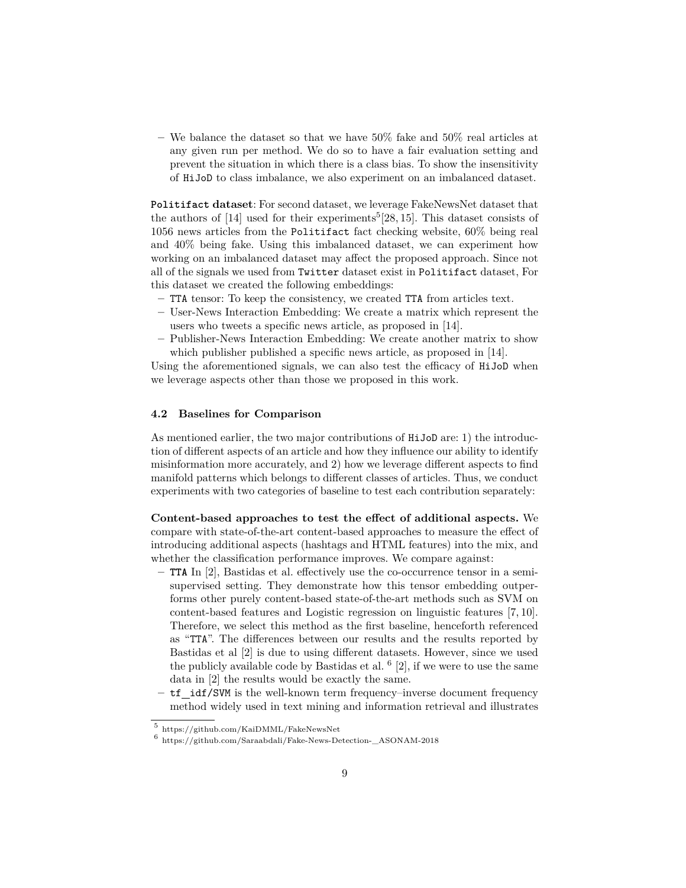**–** We balance the dataset so that we have 50% fake and 50% real articles at any given run per method. We do so to have a fair evaluation setting and prevent the situation in which there is a class bias. To show the insensitivity of HiJoD to class imbalance, we also experiment on an imbalanced dataset.

**Politifact dataset**: For second dataset, we leverage FakeNewsNet dataset that the authors of  $[14]$  used for their experiments<sup>5</sup> $[28, 15]$ . This dataset consists of 1056 news articles from the Politifact fact checking website, 60% being real and 40% being fake. Using this imbalanced dataset, we can experiment how working on an imbalanced dataset may affect the proposed approach. Since not all of the signals we used from Twitter dataset exist in Politifact dataset, For this dataset we created the following embeddings:

- **–** TTA tensor: To keep the consistency, we created TTA from articles text.
- **–** User-News Interaction Embedding: We create a matrix which represent the users who tweets a specific news article, as proposed in [14].
- **–** Publisher-News Interaction Embedding: We create another matrix to show which publisher published a specific news article, as proposed in [14].

Using the aforementioned signals, we can also test the efficacy of HiJoD when we leverage aspects other than those we proposed in this work.

#### **4.2 Baselines for Comparison**

As mentioned earlier, the two major contributions of HiJoD are: 1) the introduction of different aspects of an article and how they influence our ability to identify misinformation more accurately, and 2) how we leverage different aspects to find manifold patterns which belongs to different classes of articles. Thus, we conduct experiments with two categories of baseline to test each contribution separately:

**Content-based approaches to test the effect of additional aspects.** We compare with state-of-the-art content-based approaches to measure the effect of introducing additional aspects (hashtags and HTML features) into the mix, and whether the classification performance improves. We compare against:

- **– TTA** In [2], Bastidas et al. effectively use the co-occurrence tensor in a semisupervised setting. They demonstrate how this tensor embedding outperforms other purely content-based state-of-the-art methods such as SVM on content-based features and Logistic regression on linguistic features [7, 10]. Therefore, we select this method as the first baseline, henceforth referenced as "TTA". The differences between our results and the results reported by Bastidas et al [2] is due to using different datasets. However, since we used the publicly available code by Bastidas et al.  $<sup>6</sup>$  [2], if we were to use the same</sup> data in [2] the results would be exactly the same.
- **–** tf idf/SVM is the well-known term frequency–inverse document frequency method widely used in text mining and information retrieval and illustrates

<sup>5</sup> https://github.com/KaiDMML/FakeNewsNet

<sup>6</sup> https://github.com/Saraabdali/Fake-News-Detection-\_ASONAM-2018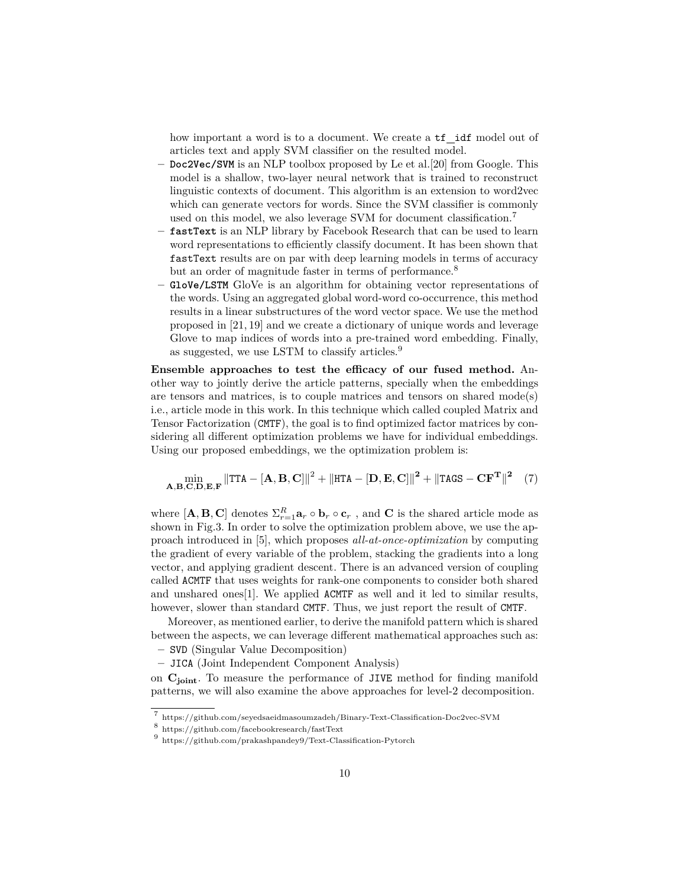how important a word is to a document. We create a tf idf model out of articles text and apply SVM classifier on the resulted model.

- **– Doc2Vec/SVM** is an NLP toolbox proposed by Le et al.[20] from Google. This model is a shallow, two-layer neural network that is trained to reconstruct linguistic contexts of document. This algorithm is an extension to word2vec which can generate vectors for words. Since the SVM classifier is commonly used on this model, we also leverage SVM for document classification.<sup>7</sup>
- **– fastText** is an NLP library by Facebook Research that can be used to learn word representations to efficiently classify document. It has been shown that fastText results are on par with deep learning models in terms of accuracy but an order of magnitude faster in terms of performance.<sup>8</sup>
- **– GloVe/LSTM** GloVe is an algorithm for obtaining vector representations of the words. Using an aggregated global word-word co-occurrence, this method results in a linear substructures of the word vector space. We use the method proposed in [21, 19] and we create a dictionary of unique words and leverage Glove to map indices of words into a pre-trained word embedding. Finally, as suggested, we use LSTM to classify articles.<sup>9</sup>

**Ensemble approaches to test the efficacy of our fused method.** Another way to jointly derive the article patterns, specially when the embeddings are tensors and matrices, is to couple matrices and tensors on shared mode(s) i.e., article mode in this work. In this technique which called coupled Matrix and Tensor Factorization (CMTF), the goal is to find optimized factor matrices by considering all different optimization problems we have for individual embeddings. Using our proposed embeddings, we the optimization problem is:

$$
\min_{\mathbf{A}, \mathbf{B}, \mathbf{C}, \mathbf{D}, \mathbf{E}, \mathbf{F}} \|\text{TTA} - [\mathbf{A}, \mathbf{B}, \mathbf{C}]\|^2 + \|\text{HTA} - [\mathbf{D}, \mathbf{E}, \mathbf{C}]\|^2 + \|\text{TAGS} - \mathbf{C}\mathbf{F}^{\mathbf{T}}\|^2 \tag{7}
$$

where  $[A, B, C]$  denotes  $\Sigma_{r=1}^R a_r \circ b_r \circ c_r$ , and C is the shared article mode as shown in Fig.3. In order to solve the optimization problem above, we use the approach introduced in [5], which proposes *all-at-once-optimization* by computing the gradient of every variable of the problem, stacking the gradients into a long vector, and applying gradient descent. There is an advanced version of coupling called ACMTF that uses weights for rank-one components to consider both shared and unshared ones [1]. We applied  $ACMTF$  as well and it led to similar results, however, slower than standard CMTF. Thus, we just report the result of CMTF.

Moreover, as mentioned earlier, to derive the manifold pattern which is shared between the aspects, we can leverage different mathematical approaches such as:

**–** SVD (Singular Value Decomposition)

**–** JICA (Joint Independent Component Analysis)

on **Cjoint**. To measure the performance of JIVE method for finding manifold patterns, we will also examine the above approaches for level-2 decomposition.

<sup>7</sup> https://github.com/seyedsaeidmasoumzadeh/Binary-Text-Classification-Doc2vec-SVM

<sup>8</sup> https://github.com/facebookresearch/fastText

<sup>9</sup> https://github.com/prakashpandey9/Text-Classification-Pytorch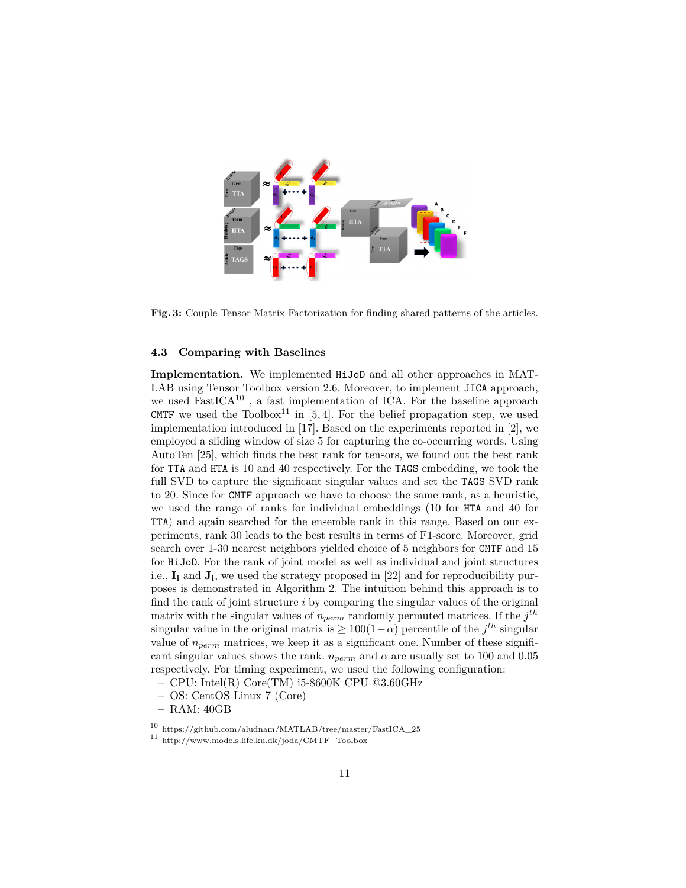

**Fig. 3:** Couple Tensor Matrix Factorization for finding shared patterns of the articles.

#### **4.3 Comparing with Baselines**

**Implementation.** We implemented HiJoD and all other approaches in MAT-LAB using Tensor Toolbox version 2.6. Moreover, to implement JICA approach, we used  $FastICA^{10}$ , a fast implementation of ICA. For the baseline approach CMTF we used the  $Toolbox<sup>11</sup>$  in [5, 4]. For the belief propagation step, we used implementation introduced in [17]. Based on the experiments reported in [2], we employed a sliding window of size 5 for capturing the co-occurring words. Using AutoTen [25], which finds the best rank for tensors, we found out the best rank for TTA and HTA is 10 and 40 respectively. For the TAGS embedding, we took the full SVD to capture the significant singular values and set the TAGS SVD rank to 20. Since for CMTF approach we have to choose the same rank, as a heuristic, we used the range of ranks for individual embeddings (10 for HTA and 40 for TTA) and again searched for the ensemble rank in this range. Based on our experiments, rank 30 leads to the best results in terms of F1-score. Moreover, grid search over 1-30 nearest neighbors yielded choice of 5 neighbors for CMTF and 15 for HiJoD. For the rank of joint model as well as individual and joint structures i.e., **I<sup>i</sup>** and **J<sup>i</sup>** , we used the strategy proposed in [22] and for reproducibility purposes is demonstrated in Algorithm 2. The intuition behind this approach is to find the rank of joint structure *i* by comparing the singular values of the original matrix with the singular values of  $n_{perm}$  randomly permuted matrices. If the  $j^{th}$ singular value in the original matrix is  $\geq 100(1-\alpha)$  percentile of the  $j^{th}$  singular value of  $n_{perm}$  matrices, we keep it as a significant one. Number of these significant singular values shows the rank.  $n_{perm}$  and  $\alpha$  are usually set to 100 and 0.05 respectively. For timing experiment, we used the following configuration:

- **–** CPU: Intel(R) Core(TM) i5-8600K CPU @3.60GHz
- **–** OS: CentOS Linux 7 (Core)
- **–** RAM: 40GB

 $\frac{10}{10}$  https://github.com/aludnam/MATLAB/tree/master/FastICA\_25

<sup>11</sup> http://www.models.life.ku.dk/joda/CMTF\_Toolbox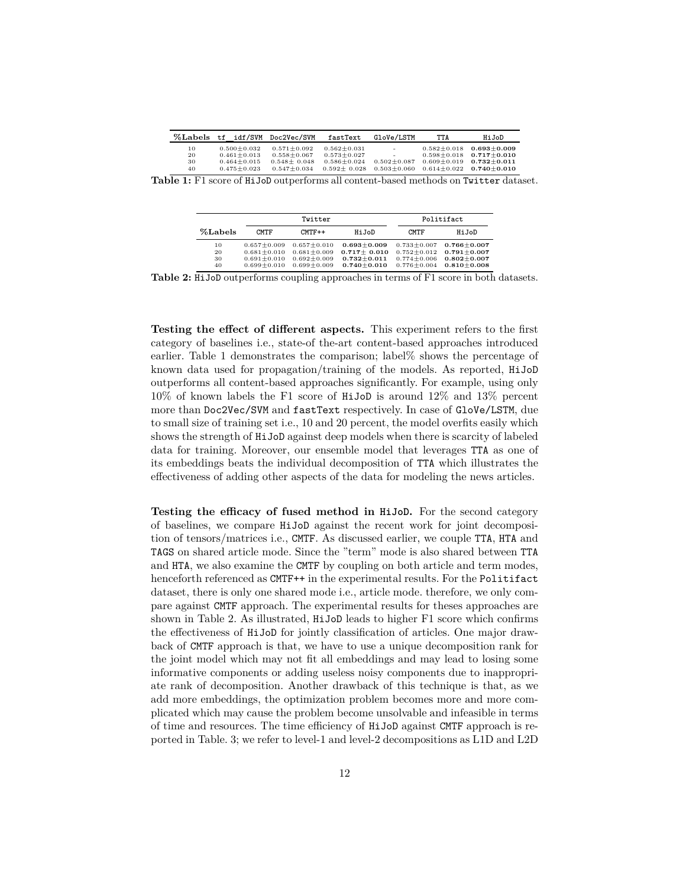|    |                 | %Labels tf idf/SVM Doc2Vec/SVM | fastText        | GloVe/LSTM               | <b>TTA</b>      | HiJoD           |
|----|-----------------|--------------------------------|-----------------|--------------------------|-----------------|-----------------|
| 10 | $0.500 + 0.032$ | $0.571 + 0.092$                | $0.562 + 0.031$ | $\sim$                   | $0.582 + 0.018$ | $0.693 + 0.009$ |
| 20 | $0.461 + 0.013$ | $0.558 + 0.067$                | $0.573 + 0.027$ | $\overline{\phantom{a}}$ | $0.598 + 0.018$ | $0.717 + 0.010$ |
| 30 | $0.464 + 0.015$ | $0.548 + 0.048$                | $0.586 + 0.024$ | $0.502 + 0.087$          | $0.609 + 0.019$ | $0.732 + 0.011$ |
| 40 | $0.475 + 0.023$ | $0.547 + 0.034$                | $0.592 + 0.028$ | $0.503 + 0.060$          | $0.614 + 0.022$ | $0.740 + 0.010$ |

**Table 1:** F1 score of HiJoD outperforms all content-based methods on Twitter dataset.

|                      |                                                                          | Twitter                                                                  |                                                                          |                                                                          | Politifact                                                               |  |  |
|----------------------|--------------------------------------------------------------------------|--------------------------------------------------------------------------|--------------------------------------------------------------------------|--------------------------------------------------------------------------|--------------------------------------------------------------------------|--|--|
| %Labels              | CMTF                                                                     | $CMTF++$                                                                 | HiJoD                                                                    | <b>CMTF</b>                                                              | HiJoD                                                                    |  |  |
| 10<br>20<br>30<br>40 | $0.657 + 0.009$<br>$0.681 + 0.010$<br>$0.691 + 0.010$<br>$0.699 + 0.010$ | $0.657 + 0.010$<br>$0.681 + 0.009$<br>$0.692 + 0.009$<br>$0.699 + 0.009$ | $0.693 + 0.009$<br>$0.717 + 0.010$<br>$0.732 + 0.011$<br>$0.740 + 0.010$ | $0.733 + 0.007$<br>$0.752 + 0.012$<br>$0.774 + 0.006$<br>$0.776 + 0.004$ | $0.766 + 0.007$<br>$0.791 + 0.007$<br>$0.802 + 0.007$<br>$0.810 + 0.008$ |  |  |

**Table 2:** HiJoD outperforms coupling approaches in terms of F1 score in both datasets.

**Testing the effect of different aspects.** This experiment refers to the first category of baselines i.e., state-of the-art content-based approaches introduced earlier. Table 1 demonstrates the comparison; label% shows the percentage of known data used for propagation/training of the models. As reported, HiJoD outperforms all content-based approaches significantly. For example, using only 10% of known labels the F1 score of HiJoD is around 12% and 13% percent more than Doc2Vec/SVM and fastText respectively. In case of GloVe/LSTM, due to small size of training set i.e., 10 and 20 percent, the model overfits easily which shows the strength of HiJoD against deep models when there is scarcity of labeled data for training. Moreover, our ensemble model that leverages TTA as one of its embeddings beats the individual decomposition of TTA which illustrates the effectiveness of adding other aspects of the data for modeling the news articles.

**Testing the efficacy of fused method in HiJoD.** For the second category of baselines, we compare HiJoD against the recent work for joint decomposition of tensors/matrices i.e., CMTF. As discussed earlier, we couple TTA, HTA and TAGS on shared article mode. Since the "term" mode is also shared between TTA and HTA, we also examine the CMTF by coupling on both article and term modes, henceforth referenced as CMTF++ in the experimental results. For the Politifact dataset, there is only one shared mode i.e., article mode. therefore, we only compare against CMTF approach. The experimental results for theses approaches are shown in Table 2. As illustrated, HiJoD leads to higher F1 score which confirms the effectiveness of HiJoD for jointly classification of articles. One major drawback of CMTF approach is that, we have to use a unique decomposition rank for the joint model which may not fit all embeddings and may lead to losing some informative components or adding useless noisy components due to inappropriate rank of decomposition. Another drawback of this technique is that, as we add more embeddings, the optimization problem becomes more and more complicated which may cause the problem become unsolvable and infeasible in terms of time and resources. The time efficiency of HiJoD against CMTF approach is reported in Table. 3; we refer to level-1 and level-2 decompositions as L1D and L2D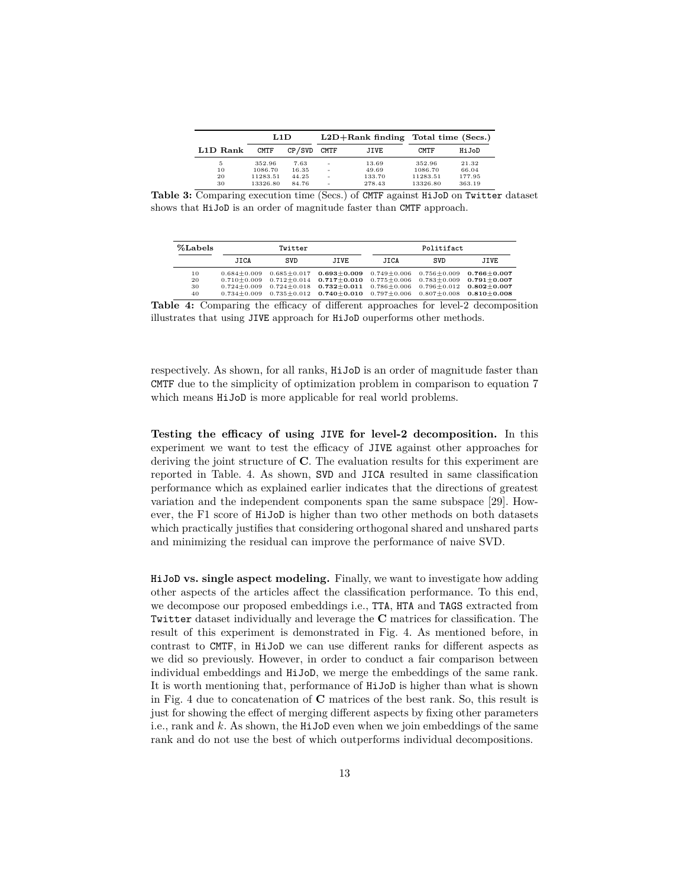|          | L1D         |        | $L2D+Rank$ finding       |        | Total time (Secs.) |        |
|----------|-------------|--------|--------------------------|--------|--------------------|--------|
| L1D Rank | <b>CMTF</b> | CP/SVD | CMTF                     | JIVE   | <b>CMTF</b>        | HiJoD  |
| 5        | 352.96      | 7.63   | $\overline{\phantom{a}}$ | 13.69  | 352.96             | 21.32  |
| 10       | 1086.70     | 16.35  | ۰                        | 49.69  | 1086.70            | 66.04  |
| 20       | 11283.51    | 44.25  | $\overline{\phantom{a}}$ | 133.70 | 11283.51           | 177.95 |
| 30       | 13326.80    | 84.76  |                          | 278.43 | 13326.80           | 363.19 |

**Table 3:** Comparing execution time (Secs.) of CMTF against HiJoD on Twitter dataset shows that HiJoD is an order of magnitude faster than CMTF approach.

| %Labels | Twitter         |            |                                                                                 | Politifact  |                 |                                 |
|---------|-----------------|------------|---------------------------------------------------------------------------------|-------------|-----------------|---------------------------------|
|         | JICA            | <b>SVD</b> | <b>JIVE</b>                                                                     | <b>JICA</b> | <b>SVD</b>      | JIVE                            |
| 10      | $0.684 + 0.009$ |            | $0.685 + 0.017$ $0.693 + 0.009$ $0.749 + 0.006$                                 |             | $0.756 + 0.009$ | $0.766 + 0.007$                 |
| 20      | $0.710 + 0.009$ |            | $0.712 + 0.014$ $0.717 + 0.010$ $0.775 + 0.006$                                 |             |                 | $0.783 + 0.009$ $0.791 + 0.007$ |
| 30      | $0.724 + 0.009$ |            | $0.724 + 0.018$ $0.732 + 0.011$ $0.786 + 0.006$                                 |             |                 | $0.796 + 0.012$ $0.802 + 0.007$ |
| 40      | $0.734 + 0.009$ |            | $0.735 + 0.012$ $0.740 + 0.010$ $0.797 + 0.006$ $0.807 + 0.008$ $0.810 + 0.008$ |             |                 |                                 |

**Table 4:** Comparing the efficacy of different approaches for level-2 decomposition illustrates that using JIVE approach for HiJoD ouperforms other methods.

respectively. As shown, for all ranks, HiJoD is an order of magnitude faster than CMTF due to the simplicity of optimization problem in comparison to equation 7 which means  $HiJoD$  is more applicable for real world problems.

**Testing the efficacy of using JIVE for level-2 decomposition.** In this experiment we want to test the efficacy of JIVE against other approaches for deriving the joint structure of **C**. The evaluation results for this experiment are reported in Table. 4. As shown, SVD and JICA resulted in same classification performance which as explained earlier indicates that the directions of greatest variation and the independent components span the same subspace [29]. However, the F1 score of HiJoD is higher than two other methods on both datasets which practically justifies that considering orthogonal shared and unshared parts and minimizing the residual can improve the performance of naive SVD.

**HiJoD vs. single aspect modeling.** Finally, we want to investigate how adding other aspects of the articles affect the classification performance. To this end, we decompose our proposed embeddings i.e., TTA, HTA and TAGS extracted from Twitter dataset individually and leverage the **C** matrices for classification. The result of this experiment is demonstrated in Fig. 4. As mentioned before, in contrast to CMTF, in HiJoD we can use different ranks for different aspects as we did so previously. However, in order to conduct a fair comparison between individual embeddings and HiJoD, we merge the embeddings of the same rank. It is worth mentioning that, performance of HiJoD is higher than what is shown in Fig. 4 due to concatenation of **C** matrices of the best rank. So, this result is just for showing the effect of merging different aspects by fixing other parameters i.e., rank and *k*. As shown, the HiJoD even when we join embeddings of the same rank and do not use the best of which outperforms individual decompositions.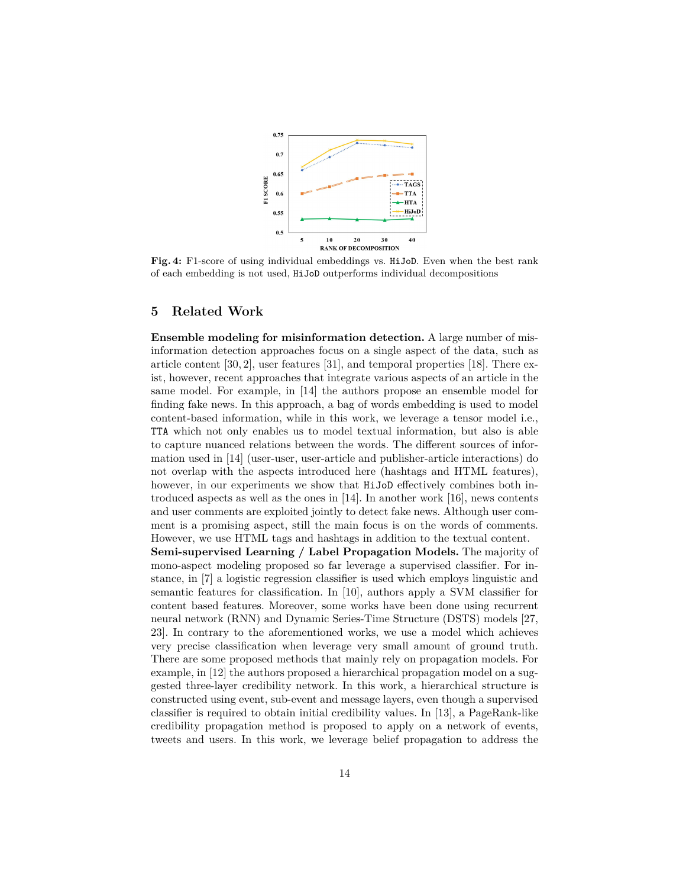

**Fig. 4:** F1-score of using individual embeddings vs. HiJoD. Even when the best rank of each embedding is not used, HiJoD outperforms individual decompositions

## **5 Related Work**

**Ensemble modeling for misinformation detection.** A large number of misinformation detection approaches focus on a single aspect of the data, such as article content [30, 2], user features [31], and temporal properties [18]. There exist, however, recent approaches that integrate various aspects of an article in the same model. For example, in [14] the authors propose an ensemble model for finding fake news. In this approach, a bag of words embedding is used to model content-based information, while in this work, we leverage a tensor model i.e., TTA which not only enables us to model textual information, but also is able to capture nuanced relations between the words. The different sources of information used in [14] (user-user, user-article and publisher-article interactions) do not overlap with the aspects introduced here (hashtags and HTML features), however, in our experiments we show that HiJoD effectively combines both introduced aspects as well as the ones in [14]. In another work [16], news contents and user comments are exploited jointly to detect fake news. Although user comment is a promising aspect, still the main focus is on the words of comments. However, we use HTML tags and hashtags in addition to the textual content. **Semi-supervised Learning / Label Propagation Models.** The majority of mono-aspect modeling proposed so far leverage a supervised classifier. For instance, in [7] a logistic regression classifier is used which employs linguistic and semantic features for classification. In [10], authors apply a SVM classifier for content based features. Moreover, some works have been done using recurrent neural network (RNN) and Dynamic Series-Time Structure (DSTS) models [27, 23]. In contrary to the aforementioned works, we use a model which achieves very precise classification when leverage very small amount of ground truth. There are some proposed methods that mainly rely on propagation models. For example, in [12] the authors proposed a hierarchical propagation model on a suggested three-layer credibility network. In this work, a hierarchical structure is constructed using event, sub-event and message layers, even though a supervised classifier is required to obtain initial credibility values. In [13], a PageRank-like credibility propagation method is proposed to apply on a network of events,

tweets and users. In this work, we leverage belief propagation to address the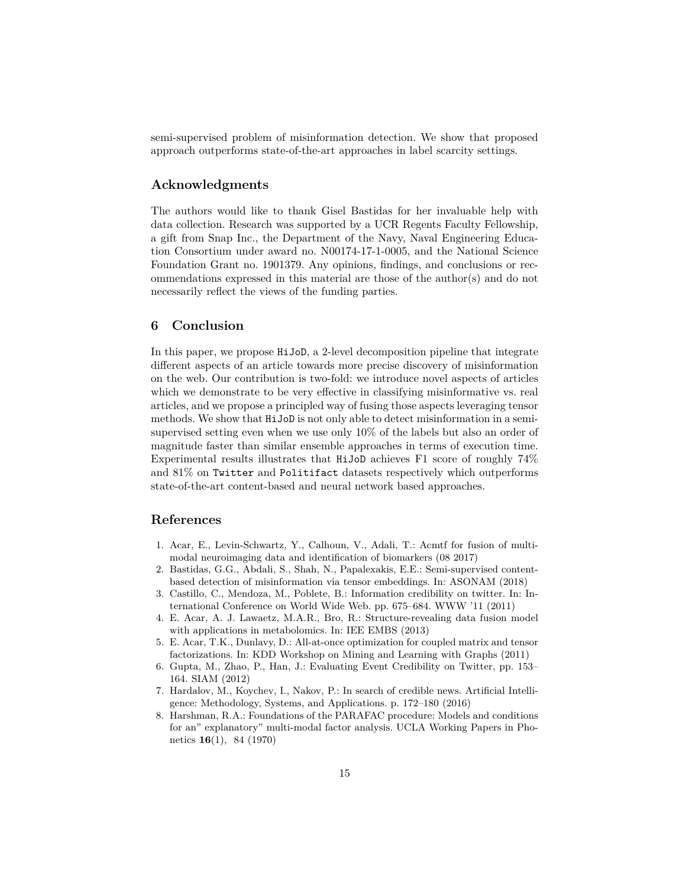semi-supervised problem of misinformation detection. We show that proposed approach outperforms state-of-the-art approaches in label scarcity settings.

## **Acknowledgments**

The authors would like to thank Gisel Bastidas for her invaluable help with data collection. Research was supported by a UCR Regents Faculty Fellowship, a gift from Snap Inc., the Department of the Navy, Naval Engineering Education Consortium under award no. N00174-17-1-0005, and the National Science Foundation Grant no. 1901379. Any opinions, findings, and conclusions or recommendations expressed in this material are those of the author(s) and do not necessarily reflect the views of the funding parties.

## **6 Conclusion**

In this paper, we propose HiJoD, a 2-level decomposition pipeline that integrate different aspects of an article towards more precise discovery of misinformation on the web. Our contribution is two-fold: we introduce novel aspects of articles which we demonstrate to be very effective in classifying misinformative vs. real articles, and we propose a principled way of fusing those aspects leveraging tensor methods. We show that HiJoD is not only able to detect misinformation in a semisupervised setting even when we use only 10% of the labels but also an order of magnitude faster than similar ensemble approaches in terms of execution time. Experimental results illustrates that HiJoD achieves F1 score of roughly 74% and 81% on Twitter and Politifact datasets respectively which outperforms state-of-the-art content-based and neural network based approaches.

### **References**

- 1. Acar, E., Levin-Schwartz, Y., Calhoun, V., Adali, T.: Acmtf for fusion of multimodal neuroimaging data and identification of biomarkers (08 2017)
- 2. Bastidas, G.G., Abdali, S., Shah, N., Papalexakis, E.E.: Semi-supervised contentbased detection of misinformation via tensor embeddings. In: ASONAM (2018)
- 3. Castillo, C., Mendoza, M., Poblete, B.: Information credibility on twitter. In: International Conference on World Wide Web. pp. 675–684. WWW '11 (2011)
- 4. E. Acar, A. J. Lawaetz, M.A.R., Bro, R.: Structure-revealing data fusion model with applications in metabolomics. In: IEE EMBS (2013)
- 5. E. Acar, T.K., Dunlavy, D.: All-at-once optimization for coupled matrix and tensor factorizations. In: KDD Workshop on Mining and Learning with Graphs (2011)
- 6. Gupta, M., Zhao, P., Han, J.: Evaluating Event Credibility on Twitter, pp. 153– 164. SIAM (2012)
- 7. Hardalov, M., Koychev, I., Nakov, P.: In search of credible news. Artificial Intelligence: Methodology, Systems, and Applications. p. 172–180 (2016)
- 8. Harshman, R.A.: Foundations of the PARAFAC procedure: Models and conditions for an" explanatory" multi-modal factor analysis. UCLA Working Papers in Phonetics **16**(1), 84 (1970)